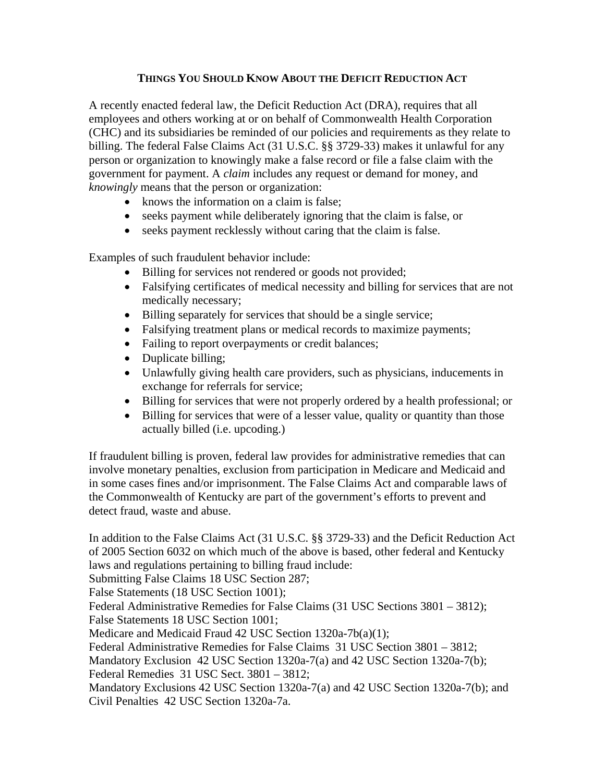## **THINGS YOU SHOULD KNOW ABOUT THE DEFICIT REDUCTION ACT**

A recently enacted federal law, the Deficit Reduction Act (DRA), requires that all employees and others working at or on behalf of Commonwealth Health Corporation (CHC) and its subsidiaries be reminded of our policies and requirements as they relate to billing. The federal False Claims Act (31 U.S.C. §§ 3729-33) makes it unlawful for any person or organization to knowingly make a false record or file a false claim with the government for payment. A *claim* includes any request or demand for money, and *knowingly* means that the person or organization:

- knows the information on a claim is false;
- seeks payment while deliberately ignoring that the claim is false, or
- seeks payment recklessly without caring that the claim is false.

Examples of such fraudulent behavior include:

- Billing for services not rendered or goods not provided;
- Falsifying certificates of medical necessity and billing for services that are not medically necessary;
- Billing separately for services that should be a single service;
- Falsifying treatment plans or medical records to maximize payments;
- Failing to report overpayments or credit balances;
- Duplicate billing;
- Unlawfully giving health care providers, such as physicians, inducements in exchange for referrals for service;
- Billing for services that were not properly ordered by a health professional; or
- Billing for services that were of a lesser value, quality or quantity than those actually billed (i.e. upcoding.)

If fraudulent billing is proven, federal law provides for administrative remedies that can involve monetary penalties, exclusion from participation in Medicare and Medicaid and in some cases fines and/or imprisonment. The False Claims Act and comparable laws of the Commonwealth of Kentucky are part of the government's efforts to prevent and detect fraud, waste and abuse.

In addition to the False Claims Act (31 U.S.C. §§ 3729-33) and the Deficit Reduction Act of 2005 Section 6032 on which much of the above is based, other federal and Kentucky laws and regulations pertaining to billing fraud include:

Submitting False Claims 18 USC Section 287;

False Statements (18 USC Section 1001);

Federal Administrative Remedies for False Claims (31 USC Sections 3801 – 3812); False Statements 18 USC Section 1001;

Medicare and Medicaid Fraud 42 USC Section 1320a-7b(a)(1);

Federal Administrative Remedies for False Claims 31 USC Section 3801 – 3812;

Mandatory Exclusion 42 USC Section 1320a-7(a) and 42 USC Section 1320a-7(b);

Federal Remedies 31 USC Sect. 3801 – 3812;

Mandatory Exclusions 42 USC Section 1320a-7(a) and 42 USC Section 1320a-7(b); and Civil Penalties 42 USC Section 1320a-7a.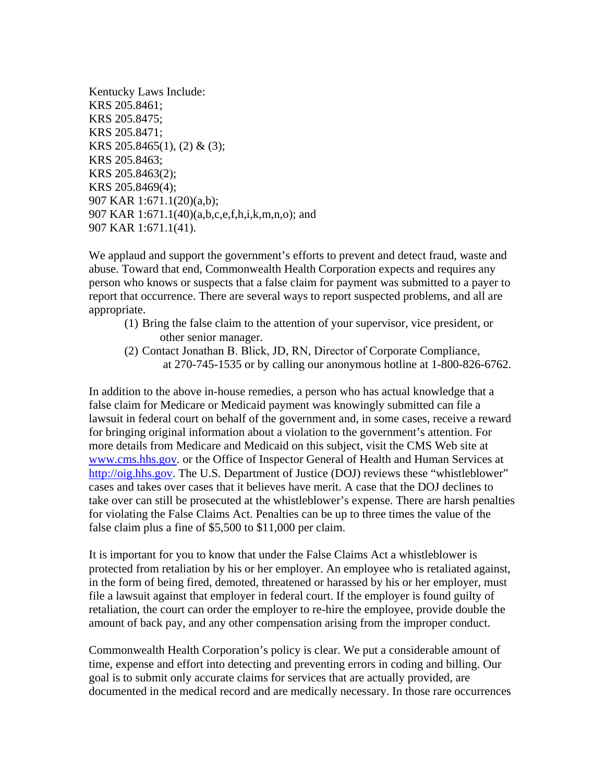Kentucky Laws Include: KRS 205.8461; KRS 205.8475; KRS 205.8471; KRS 205.8465(1), (2) & (3); KRS 205.8463; KRS 205.8463(2); KRS 205.8469(4); 907 KAR 1:671.1(20)(a,b); 907 KAR 1:671.1(40)(a,b,c,e,f,h,i,k,m,n,o); and 907 KAR 1:671.1(41).

We applaud and support the government's efforts to prevent and detect fraud, waste and abuse. Toward that end, Commonwealth Health Corporation expects and requires any person who knows or suspects that a false claim for payment was submitted to a payer to report that occurrence. There are several ways to report suspected problems, and all are appropriate.

- (1) Bring the false claim to the attention of your supervisor, vice president, or other senior manager.
- (2) Contact Jonathan B. Blick, JD, RN, Director of Corporate Compliance, at 270-745-1535 or by calling our anonymous hotline at 1-800-826-6762.

In addition to the above in-house remedies, a person who has actual knowledge that a false claim for Medicare or Medicaid payment was knowingly submitted can file a lawsuit in federal court on behalf of the government and, in some cases, receive a reward for bringing original information about a violation to the government's attention. For more details from Medicare and Medicaid on this subject, visit the CMS Web site at [www.cms.hhs.gov.](http://www.cms.hhs.gov/) or the Office of Inspector General of Health and Human Services at [http://oig.hhs.gov.](http://oig.hhs.gov/) The U.S. Department of Justice (DOJ) reviews these "whistleblower" cases and takes over cases that it believes have merit. A case that the DOJ declines to take over can still be prosecuted at the whistleblower's expense. There are harsh penalties for violating the False Claims Act. Penalties can be up to three times the value of the false claim plus a fine of \$5,500 to \$11,000 per claim.

It is important for you to know that under the False Claims Act a whistleblower is protected from retaliation by his or her employer. An employee who is retaliated against, in the form of being fired, demoted, threatened or harassed by his or her employer, must file a lawsuit against that employer in federal court. If the employer is found guilty of retaliation, the court can order the employer to re-hire the employee, provide double the amount of back pay, and any other compensation arising from the improper conduct.

Commonwealth Health Corporation's policy is clear. We put a considerable amount of time, expense and effort into detecting and preventing errors in coding and billing. Our goal is to submit only accurate claims for services that are actually provided, are documented in the medical record and are medically necessary. In those rare occurrences